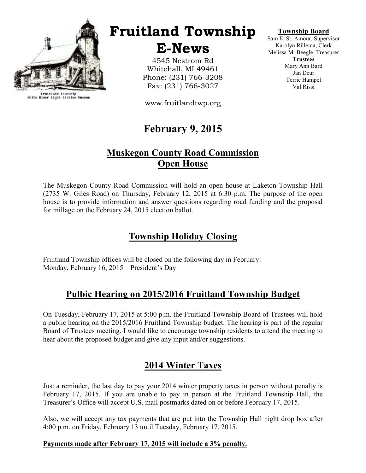

Fruitland Township<br>White River Light Station Museum

# Fruitland Township

E-News

4545 Nestrom Rd Whitehall, MI 49461 Phone: (231) 766-3208 Fax: (231) 766-3027

www.fruitlandtwp.org

## February 9, 2015

#### Muskegon County Road Commission Open House

The Muskegon County Road Commission will hold an open house at Laketon Township Hall (2735 W. Giles Road) on Thursday, February 12, 2015 at 6:30 p.m. The purpose of the open house is to provide information and answer questions regarding road funding and the proposal for millage on the February 24, 2015 election ballot.

### Township Holiday Closing

Fruitland Township offices will be closed on the following day in February: Monday, February 16, 2015 – President's Day

### Pulbic Hearing on 2015/2016 Fruitland Township Budget

On Tuesday, February 17, 2015 at 5:00 p.m. the Fruitland Township Board of Trustees will hold a public hearing on the 2015/2016 Fruitland Township budget. The hearing is part of the regular Board of Trustees meeting. I would like to encourage township residents to attend the meeting to hear about the proposed budget and give any input and/or suggestions.

### 2014 Winter Taxes

Just a reminder, the last day to pay your 2014 winter property taxes in person without penalty is February 17, 2015. If you are unable to pay in person at the Fruitland Township Hall, the Treasurer's Office will accept U.S. mail postmarks dated on or before February 17, 2015.

Also, we will accept any tax payments that are put into the Township Hall night drop box after 4:00 p.m. on Friday, February 13 until Tuesday, February 17, 2015.

#### Payments made after February 17, 2015 will include a 3% penalty.

#### Township Board

Sam E. St. Amour, Supervisor Karolyn Rillema, Clerk Melissa M. Beegle, Treasurer **Trustees** Mary Ann Bard Jan Deur Terrie Hampel Val Rissi